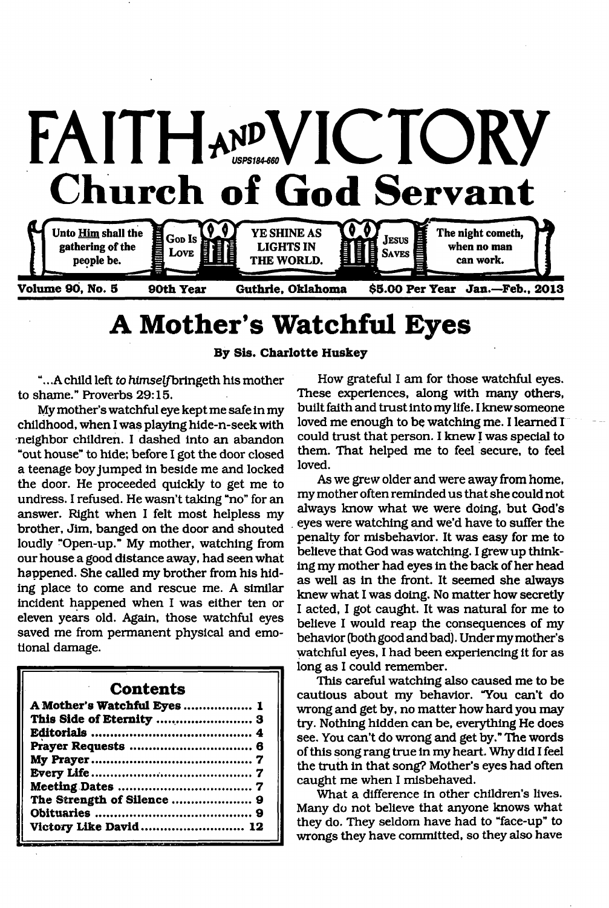

# **A Mother's Watchful Eyes**

**By Sis. Charlotte Huskey**

. .A child left *to* himselfbringeth his mother to shame." Proverbs 29:15.

My mother's watchful eye kept me safe in my childhood, when I was playing hide-n-seek with neighbor children. I dashed into an abandon "out house" to hide; before I got the door closed a teenage boy jumped in beside me and locked the door. He proceeded quickly to get me to undress. I refused. He wasn't taking "no" for an answer. Right when I felt most helpless my brother, Jim, banged on the door and shouted loudly "Open-up." My mother, watching from our house a good distance away, had seen what happened. She called my brother from his hiding place to come and rescue me. A similar incident happened when I was either ten or eleven years old. Again, those watchful eyes saved me from permanent physical and emotional damage.

### **Contents**

| A Mother's Watchful Eyes  1 |  |
|-----------------------------|--|
|                             |  |
|                             |  |
|                             |  |
|                             |  |
|                             |  |
|                             |  |
| The Strength of Silence  9  |  |
|                             |  |
| Victory Like David 12       |  |

How grateful I am for those watchful eyes. These experiences, along with many others, built faith and trust into my life. I knew someone loved me enough to be watching me. I learned I could trust that person. I knew I was special to them. That helped me to feel secure, to feel loved.

As we grew older and were away from home, my mother often reminded us that she could not always know what we were doing, but God's eyes were watching and we'd have to suffer the penalty for misbehavior. It was easy for me to believe that God was watching. I grew up thinking my mother had eyes in the back of her head as well as in the front. It seemed she always knew what I was doing. No matter how secretly I acted, I got caught. It was natural for me to believe I would reap the consequences of my behavior (both good and bad). Under my mother's watchful eyes, I had been experiencing it for as long as I could remember.

This careful watching also caused me to be cautious about my behavior. "You can't do wrong and get by, no matter how hard you may try. Nothing hidden can be, everything He does see. You can't do wrong and get by." The words of this song rang true in my heart. Why did I feel the truth in that song? Mother's eyes had often caught me when I misbehaved.

What a difference in other children's lives. Many do not believe that anyone knows what they do. They seldom have had to "face-up" to wrongs they have committed, so they also have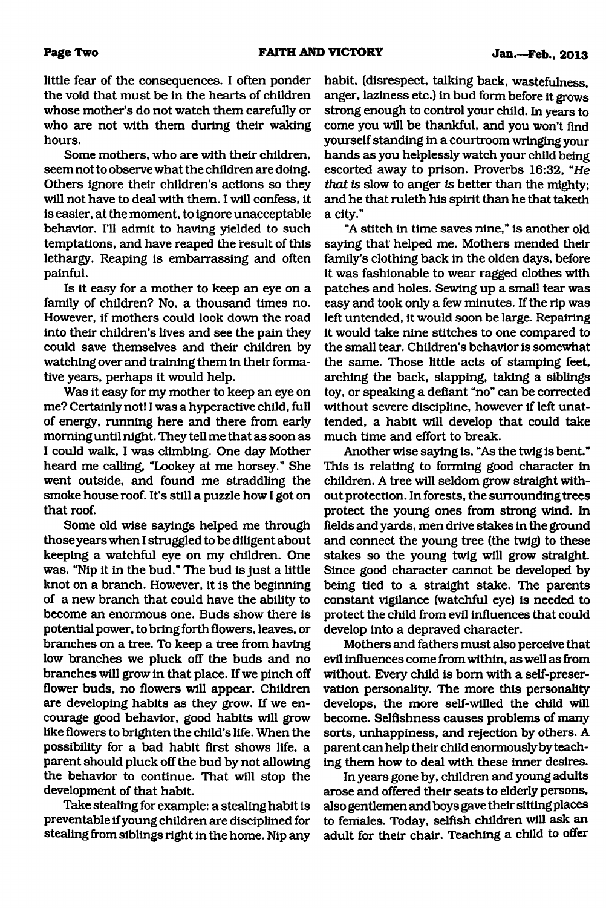little fear of the consequences. I often ponder the void that must be in the hearts of children whose mother's do not watch them carefully or who are not with them during their waking hours.

Some mothers, who are with their children, seem not to observe what the children are doing. Others ignore their children's actions so they will not have to deal with them. I will confess, it is easier, at the moment, to ignore unacceptable behavior. I'll admit to having yielded to such temptations, and have reaped the result of this lethargy. Reaping is embarrassing and often painful.

Is it easy for a mother to keep an eye on a family of children? No, a thousand times no. However, if mothers could look down the road into their children's lives and see the pain they could save themselves and their children by watching over and training them in their formative years, perhaps it would help.

Was it easy for my mother to keep an eye on me? Certainly not! I was a hyperactive child, full of energy, running here and there from early morning until night. They tell me that as soon as I could walk, I was climbing. One day Mother heard me calling, "Lookey at me horsey." She went outside, and found me straddling the smoke house roof. It's still a puzzle how I got on that roof.

Some old wise sayings helped me through those years when I struggled to be diligent about keeping a watchful eye on my children. One was, "Nip it in the bud." The bud is just a little knot on a branch. However, it is the beginning of a new branch that could have the ability to become an enormous one. Buds show there is potential power, to bring forth flowers, leaves, or branches on a tree. To keep a tree from having low branches we pluck off the buds and no branches will grow in that place. If we pinch off flower buds, no flowers will appear. Children are developing habits as they grow. If we encourage good behavior, good habits will grow like flowers to brighten the child's life. When the possibility for a bad habit first shows life, a parent should pluck off the bud by not allowing the behavior to continue. That will stop the development of that habit.

Take stealing for example: a stealing habit is preventable if young children are disciplined for stealing from siblings right in the home. Nip any habit, (disrespect, talking back, wastefulness, anger, laziness etc.) in bud form before it grows strong enough to control your child. In years to come you will be thankful, and you won't find yourself standing in a courtroom wringing your hands as you helplessly watch your child being escorted away to prison. Proverbs 16:32, "He *that is* slow to anger *is* better than the mighty; and he that ruleth his spirit than he that taketh a city."

"A stitch in time saves nine," is another old saying that helped me. Mothers mended their family's clothing back in the olden days, before it was fashionable to wear ragged clothes with patches and holes. Sewing up a small tear was easy and took only a few minutes. If the rip was left untended, it would soon be large. Repairing it would take nine stitches to one compared to the small tear. Children's behavior is somewhat the same. Those little acts of stamping feet, arching the back, slapping, taking a siblings toy, or speaking a defiant "no" can be corrected without severe discipline, however if left unattended, a habit will develop that could take much time and effort to break.

Another wise saying is, "As the twig is bent." This is relating to forming good character in children. A tree will seldom grow straight without protection. In forests, the surrounding trees protect the young ones from strong wind. In fields and yards, men drive stakes in the ground and connect the young tree (the twig) to these stakes so the young twig will grow straight. Since good character cannot be developed by being tied to a straight stake. The parents constant vigilance (watchful eye) is needed to protect the child from evil influences that could develop into a depraved character.

Mothers and fathers must also perceive that evil influences come from within, as well as from without. Every child is bom with a self-preservation personality. The more this personality develops, the more self-willed the child will become. Selfishness causes problems of many sorts, unhappiness, and rejection by others. A parent can help their child enormously by teaching them how to deal with these inner desires.

In years gone by, children and young adults arose and offered their seats to elderly persons, also gentlemen and boys gave their sitting places to females. Today, selfish children will ask an adult for their chair. Teaching a child to offer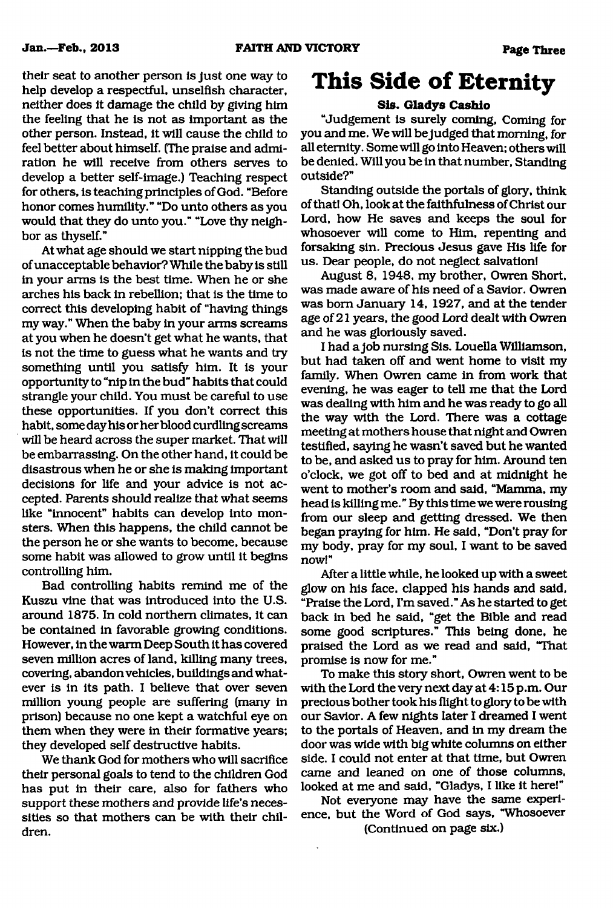their seat to another person is Just one way to help develop a respectful, unselfish character, neither does it damage the child by giving him the feeling that he is not as important as the other person. Instead, it will cause the child to feel better about himself. (The praise and admiration he will receive from others serves to develop a better self-image.) Teaching respect for others, is teaching principles of God. "Before honor comes humility." "Do unto others as you would that they do unto you." "Love thy neighbor as thyself."

At what age should we start nipping the bud of unacceptable behavior? While the baby is still in your arms is the best time. When he or she arches his back in rebellion; that is the time to correct this developing habit of "having things my way." When the baby in your arms screams at you when he doesn't get what he wants, that is not the time to guess what he wants and try something until you satisfy him. It is your opportunity to "nip in the bud" habits that could strangle your child. You must be careful to use these opportunities. If you don't correct this habit, some day his or her blood curdling screams will be heard across the super market. That will be embarrassing. On the other hand, it could be disastrous when he or she is making important decisions for life and your advice is not accepted. Parents should realize that what seems like "innocent" habits can develop into monsters. When this happens, the child cannot be the person he or she wants to become, because some habit was allowed to grow until it begins controlling him.

Bad controlling habits remind me of the Kuszu vine that was introduced into the U.S. around 1875. In cold northern climates, it can be contained in favorable growing conditions. However, in the warm Deep South it has covered seven million acres of land, killing many trees, covering, abandon vehicles, buildings and whatever is in its path. I believe that over seven million young people are suffering (many in prison) because no one kept a watchful eye on them when they were in their formative years; they developed self destructive habits.

We thank God for mothers who will sacrifice their personal goals to tend to the children God has put in their care, also for fathers who support these mothers and provide life's necessities so that mothers can be with their children.

## **This Side of Eternity**

#### **Sis. Gladys Cashio**

"Judgement is surely coming, Coming for you and me. We will be judged that morning, for all eternity. Some will go into Heaven; others will be denied. Will you be in that number, Standing outside?"

Standing outside the portals of glory, think of that! Oh, look at the faithfulness of Christ our Lord, how He saves and keeps the soul for whosoever will come to Him, repenting and forsaking sin. Precious Jesus gave His life for us. Dear people, do not neglect salvation!

August 8, 1948, my brother, Owren Short, was made aware of his need of a Savior. Owren was bom January 14, 1927, and at the tender age of 21 years, the good Lord dealt with Owren and he was gloriously saved.

I had a job nursing Sis. Louella Williamson, but had taken off and went home to visit my family. When Owren came in from work that evening, he was eager to tell me that the Lord was dealing with him and he was ready to go all the way with the Lord. There was a cottage meeting at mothers house that night and Owren testified, saying he wasn't saved but he wanted to be, and asked us to pray for him. Around ten o'clock, we got off to bed and at midnight he went to mother's room and said, "Mamma, my head is killing me. " By this time we were rousing from our sleep and getting dressed. We then began praying for him. He said, "Don't pray for my body, pray for my soul, I want to be saved now!"

After a little while, he looked up with a sweet glow on his face, clapped his hands and said, "Praise the Lord, I'm saved." As he started to get back in bed he said, "get the Bible and read some good scriptures." This being done, he praised the Lord as we read and said, "That promise is now for me."

To make this story short, Owren went to be with the Lord the very next day at 4:15 p.m. Our precious bother took his flight to glory to be with our Savior. A few nights later I dreamed I went to the portals of Heaven, and in my dream the door was wide with big white columns on either side. I could not enter at that time, but Owren came and leaned on one of those columns, looked at me and said, "Gladys, I like it here!"

Not everyone may have the same experience, but the Word of God says, "Whosoever (Continued on page six.)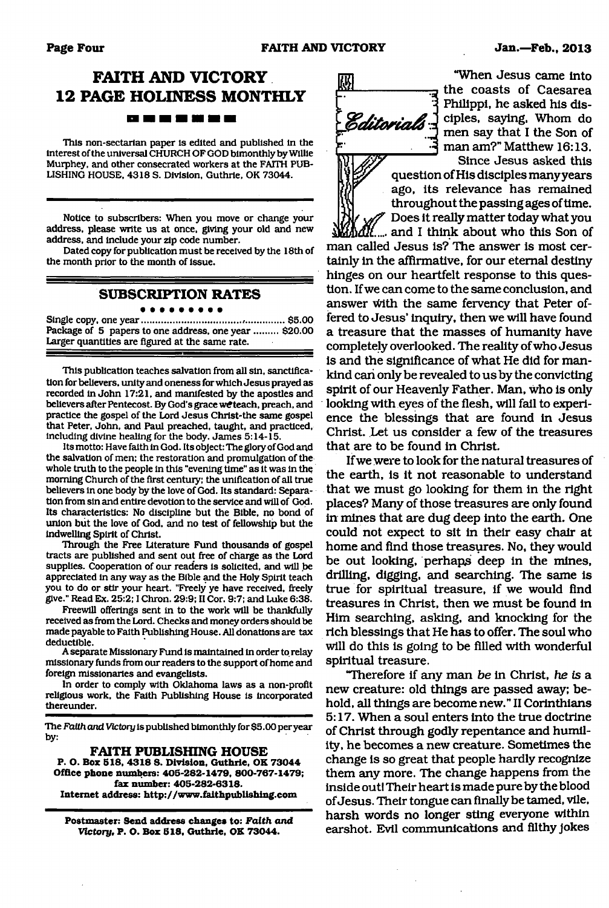## **FAITH AND VICTORY 12 PAGE HOLINESS MONTHLY**

-------

This non-sectarian paper is edited and published in the Interest of the universal CHURCH OF GOD bimonthly by Willie Murphey, and other consecrated workers at the FAITH PUB-LISHING HOUSE, 4318 S. Division, Guthrie, OK 73044.

Notice to subscribers: When you move or change your address, please write us at once, giving your old and new address, and Include your zip code number.

Dated copy for publication must be received by the 18th of the month prior to the month of Issue.

#### **SUBSCRIPTION RATES**

 $\bullet\bullet\bullet$ 

Single copy, one year..................................... ,...............\$5.00 Package of 5 papers to one address, one year ......... \$20.00 Larger quantities are figured at the same rate.

This publication teaches salvation from all sin, sanctification for believers, unity and oneness for which Jesus prayed as recorded in John 17:21, and manifested by the apostles and believers after Pentecost. By God's grace we teach, preach, and practice the gospel of the Lord Jesus Christ-the same gospel that Peter, John, and Paul preached, taught, and practiced, Including divine healing for the body. James 5:14-15.

Its motto: Have faith In God. Its object: The glory of God and the salvation of men; the restoration and promulgation of the whole truth to the people in this "evening time" as it was in the morning Church of the first century; the unification of all true believers In one body by the love of God. Its standard: Separation from sin and entire devotion to the service and will of God. Its characteristics: No discipline but the Bible, no bond of union but the love of God, and no test of fellowship but the indwelling Spirit of Christ.

Through the Free literature Fund thousands of gospel tracts are published and sent out free of charge as the Lord supplies. Cooperation of our readers Is solicited, and will be appreciated In any way as the Bible and the Holy Spirit teach you to do or stir your heart. "Freely ye have received, freely give." Read Ex. 25:2; I Chron. 29:9; II Cor. 9:7; and Luke 6:38.

Freewill offerings sent in to the work will be thankfully received as from the Lord. Checks and money orders should be made payable to Faith Publishing House. All donations are tax deductible.

A separate Missionary Fund Is maintained In order to relay missionary funds from our readers to the support of home and foreign missionaries and evangelists.

In order to comply with Oklahoma laws as a non-profit religious work, the Faith Publishing House is incorporated thereunder.

The *Faith and Victory* is published bimonthly for \$5.00 per year by:

#### **FAITH PUBLISHING HOUSE**

**P. O. Box 518, 4318 S. Division, Guthrie, OK 73044 Office phone numbers: 405-282-1479, 800-767-1479; fax number: 405-282-6318. Internet address:<http://www.faithpublishing.com>**

**Postmaster: Send address changes to:** *Faith and Victory,* **P. O. Box 518, Guthrie, OK 73044.**



"When Jesus came into the coasts of Caesarea Philippi, he asked his disciples, saying, Whom do men say that I the Son of man am?" Matthew 16:13.

Since Jesus asked this 1 question of His disciples many years *V* ago, its relevance has remained throughout the passing ages of time. / Does it really matter today what you

and I think about who this Son of man called Jesus is? The answer is most certainly in the affirmative, for our eternal destiny hinges on our heartfelt response to this question. If we can come to the same conclusion, and answer With the same fervency that Peter offered to Jesus' inquiry, then we will have found a treasure that the masses of humanity have completely overlooked. The reality of who Jesus is and the significance of what He did for mankind can only be revealed to us by the convicting spirit of our Heavenly Father. Man, who is only looking with eyes of the flesh, will fail to experience the blessings that are found in Jesus Christ. Let us consider a few of the treasures that are to be found in Christ.

If we were to look for the natural treasures of the earth, is it not reasonable to understand that we must go looking for them in the right places? Many of those treasures are only found in mines that are dug deep into the earth. One could not expect to sit in their easy chair at home and find those treasures. No, they would be out looking, perhaps deep in the mines, drilling, digging, and searching. The same is true for spiritual treasure, if we would find treasures in Christ, then we must be found in Him searching, asking, and knocking for the rich blessings that He has to offer. The soul who will do this is going to be filled with wonderful spiritual treasure.

"Therefore if any man *be* in Christ, *he is a* new creature: old things are passed away; behold, all things are become new." II Corinthians 5:17. When a soul enters into the true doctrine of Christ through godly repentance and humility, he becomes a new creature. Sometimes the change is so great that people hardly recognize them any more. The change happens from the inside out! Their heart is made pure by the blood of Jesus. Their tongue can finally be tamed, vile, harsh words no longer sting everyone within earshot. Evil communications and filthy jokes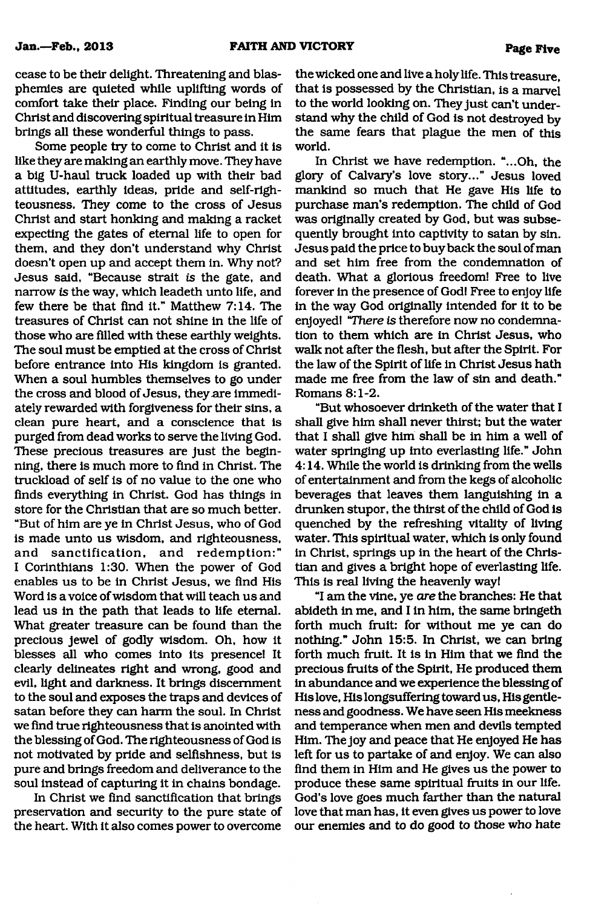cease to be their delight. Threatening and blasphemies are quieted while uplifting words of comfort take their place. Finding our being in Christ and discovering spiritual treasure in Him brings all these wonderful things to pass.

Some people try to come to Christ and it is like they are making an earthly move. They have a big U-haul truck loaded up with their bad attitudes, earthly ideas, pride and self-righteousness. They come to the cross of Jesus Christ and start honking and making a racket expecting the gates of eternal life to open for them, and they don't understand why Christ doesn't open up and accept them in. Why not? Jesus said, "Because strait *is* the gate, and narrow *is* the way, which leadeth unto life, and few there be that find it." Matthew 7:14. The treasures of Christ can not shine in the life of those who are filled with these earthly weights. The soul must be emptied at the cross of Christ before entrance into His kingdom is granted. When a soul humbles themselves to go under the cross and blood of Jesus, they are immediately rewarded with forgiveness for their sins, a clean pure heart, and a conscience that is purged from dead works to serve the living God. These precious treasures are just the beginning, there is much more to find in Christ. The truckload of self is of no value to the one who finds everything in Christ. God has things in store for the Christian that are so much better. "But of him are ye in Christ Jesus, who of God is made unto us wisdom, and righteousness, and sanctification, and redemption:" I Corinthians 1:30. When the power of God enables us to be in Christ Jesus, we find His Word is a voice of wisdom that will teach us and lead us in the path that leads to life eternal. What greater treasure can be found than the precious jewel of godly wisdom. Oh, how it blesses all who comes into its presence! It clearly delineates right and wrong, good and evil, light and darkness. It brings discernment to the soul and exposes the traps and devices of satan before they can harm the soul. In Christ we find true righteousness that is anointed with the blessing of God. The righteousness of God is not motivated by pride and selfishness, but is pure and brings freedom and deliverance to the soul instead of capturing it in chains bondage.

In Christ we find sanctification that brings preservation and security to the pure state of the heart. With it also comes power to overcome the wicked one and live a holy life. This treasure, that is possessed by the Christian, is a marvel to the world looking on. They just can't understand why the child of God is not destroyed by the same fears that plague the men of this world.

In Christ we have redemption. "...Oh, the glory of Calvary's love story..." Jesus loved mankind so much that He gave His life to purchase man's redemption. The child of God was originally created by God, but was subsequently brought into captivity to satan by sin. Jesus paid the price to buyback the soul of man and set him free from the condemnation of death. What a glorious freedom! Free to live forever in the presence of God! Free to enjoy life in the way God originally intended for it to be enjoyed! *"There is* therefore now no condemnation to them which are in Christ Jesus, who walk not after the flesh, but after the Spirit. For the law of the Spirit of life in Christ Jesus hath made me free from the law of sin and death." Romans 8:1-2.

"But whosoever drinketh of the water that I shall give him shall never thirst; but the water that I shall give him shall be in him a well of water springing up into everlasting life." John 4:14. While the world is drinking from the wells of entertainment and from the kegs of alcoholic beverages that leaves them languishing in a drunken stupor, the thirst of the child of God is quenched by the refreshing vitality of living water. This spiritual water, which is only found in Christ, springs up in the heart of the Christian and gives a bright hope of everlasting life. This is real living the heavenly way!

"I am the vine, ye *are* the branches: He that abideth in me, and I in him, the same bringeth forth much fruit: for without me ye can do nothing." John 15:5. In Christ, we can bring forth much fruit. It is in Him that we find the precious fruits of the Spirit, He produced them in abundance and we experience the blessing of His love, His longsuffering toward us, His gentleness and goodness. We have seen His meekness and temperance when men and devils tempted Him. The joy and peace that He enjoyed He has left for us to partake of and enjoy. We can also find them in Him and He gives us the power to produce these same spiritual fruits in our life. God's love goes much farther than the natural love that man has, it even gives us power to love our enemies and to do good to those who hate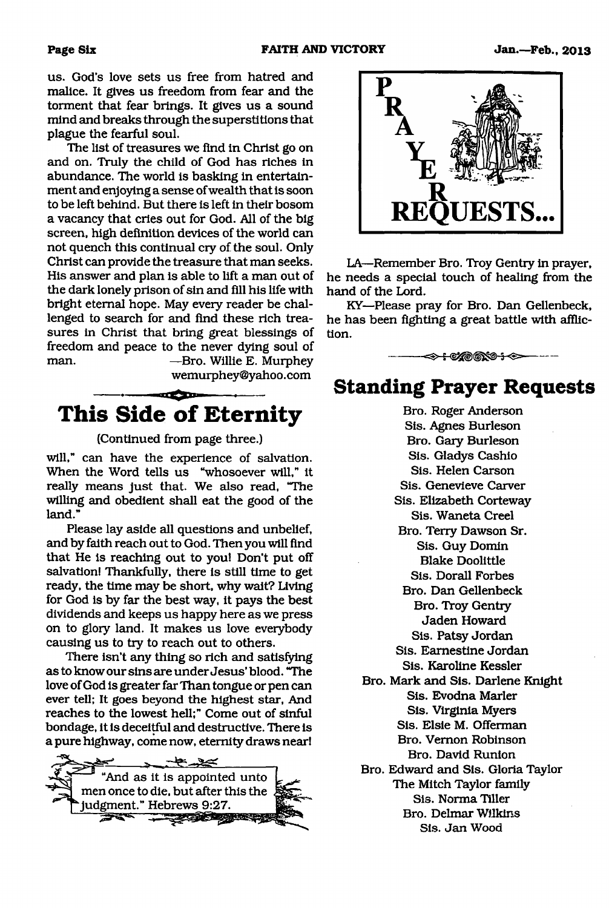us. God's love sets us free from hatred and malice. It gives us freedom from fear and the torment that fear brings. It gives us a sound mind and breaks through the superstitions that plague the fearful soul.

The list of treasures we find in Christ go on and on. Truly the child of God has riches in abundance. The world is basking in entertainment and enjoying a sense of wealth that is soon to be left behind. But there is left in their bosom a vacancy that cries out for God. All of the big screen, high definition devices of the world can not quench this continual cry of the soul. Only Christ can provide the treasure that man seeks. His answer and plan is able to lift a man out of the dark lonely prison of sin and fill his life with bright eternal hope. May every reader be challenged to search for and find these rich treasures in Christ that bring great blessings of freedom and peace to the never dying soul of man. —Bro. Willie E. Murphey [wemurphey@yahoo.com](mailto:wemurphey@yahoo.com)

**SECTION This Side of Eternity** 

#### (Continued from page three.)

will," can have the experience of salvation. When the Word tells us "whosoever will," it really means just that. We also read, "The willing and obedient shall eat the good of the land."

Please lay aside all questions and unbelief, and by faith reach out to God. Then you will find that He is reaching out to you! Don't put off salvation! Thankfully, there is still time to get ready, the time may be short, why wait? Living for God is by far the best way, it pays the best dividends and keeps us happy here as we press on to glory land. It makes us love everybody causing us to try to reach out to others.

There isn't any thing so rich and satisfying as to know our sins are under Jesus' blood. "The love of God is greater far Than tongue or pen can ever tell; It goes beyond the highest star, And reaches to the lowest hell;" Come out of sinful bondage, it is deceitful and destructive. There is a pure highway, come now, eternity draws near!





LA—Remember Bro. Troy Gentry in prayer, he needs a special touch of healing from the hand of the Lord.

KY—Please pray for Bro. Dan Gellenbeck, he has been fighting a great battle with affliction.

<del>->+</del>€%©®%®+<>

### **Standing Prayer Requests**

Bro. Roger Anderson Sis. Agnes Burleson Bro. Gary Burleson Sis. Gladys Cashio Sis. Helen Carson Sis. Genevieve Carver Sis. Elizabeth Corteway Sis. Waneta Creel Bro. Terry Dawson Sr. Sis. Guy Domin Blake Doolittle Sis. Dorall Forbes Bro. Dan Gellenbeck Bro. Troy Gentry Jaden Howard Sis. Patsy Jordan Sis. Eamestine Jordan Sis. Karoline Kessler Bro. Mark and Sis. Darlene Knight Sis. Evodna Marler Sis. Virginia Myers Sis. Elsie M. Offerman Bro. Vernon Robinson Bro. David Runion Bro. Edward and Sis. Gloria Taylor The Mitch Taylor family Sis. Norma Tiller Bro. Delmar Wilkins

Sis. Jan Wood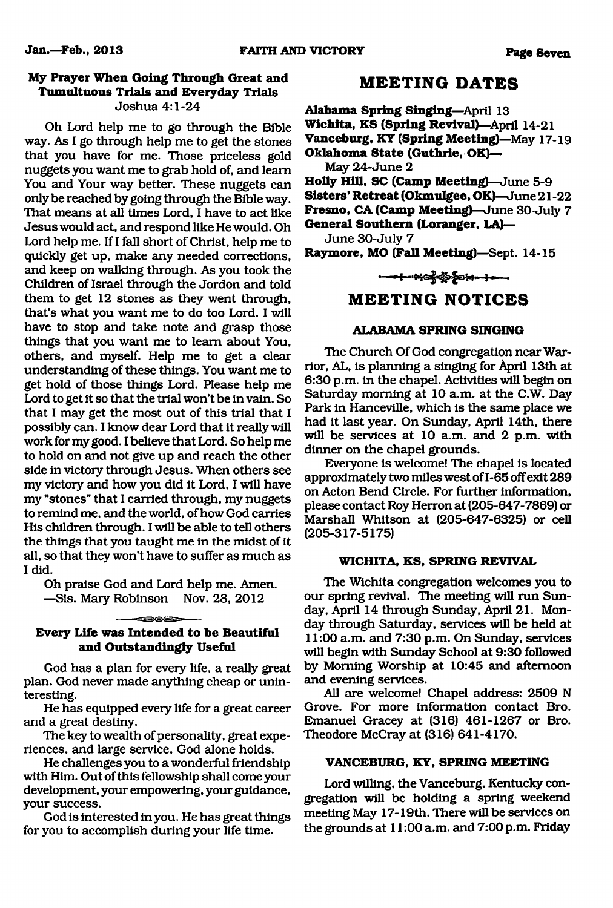#### **My Prayer When Going Through Great and Tumultuous Trials and Everyday Trials** Joshua 4:1-24

Oh Lord help me to go through the Bible way. As I go through help me to get the stones that you have for me. Those priceless gold nuggets you want me to grab hold of, and learn You and Your way better. These nuggets can only be reached by going through the Bible way. That means at all times Lord, I have to act like Jesus would act, and respond like He would. Oh Lord help me. If I fall short of Christ, help me to quickly get up, make any needed corrections, and keep on walking through. As you took the Children of Israel through the Jordon and told them to get 12 stones as they went through, that's what you want me to do too Lord. I will have to stop and take note and grasp those things that you want me to learn about You, others, and myself. Help me to get a clear understanding of these things. You want me to get hold of those things Lord. Please help me Lord to get it so that the trial won't be in vain. So that I may get the most out of this trial that I possibly can. I know dear Lord that it really will work for my good. I believe that Lord. So help me to hold on and not give up and reach the other side in victory through Jesus. When others see my victory and how you did it Lord, I will have my "stones" that I carried through, my nuggets to remind me, and the world, of how God carries His children through. I will be able to tell others the things that you taught me in the midst of it all, so that they won't have to suffer as much as I did.

Oh praise God and Lord help me. Amen. —Sis. Mary Robinson Nov. 28, 2012

#### **≤≡⊃⊙⊙≔ Every Life was Intended to be Beautiful and Outstandingly Useful**

God has a plan for every life, a really great plan. God never made anything cheap or uninteresting.

He has equipped every life for a great career and a great destiny.

The key to wealth of personality, great experiences, and large service, God alone holds.

He challenges you to a wonderful friendship with Him. Out of this fellowship shall come your development, your empowering, your guidance, your success.

God is interested in you. He has great things for you to accomplish during your life time.

### **M EETING DATES**

**Alabama Spring Singing—**April 13 **Wichita, KS (Spring Revival)**—April 14-21 **Vanceburg, KY (Spring Meeting)—**May 17-19 **Oklahoma State (Guthrie, OK)—** May 24-June 2 **Holly Hill, SC (Camp Meeting)**—June 5-9 **Sisters' Retreat (Okmulgee, OK)**—June 21-22 **Fresno, CA (Camp Meeting)**—June 30-July 7 **General Southern (Loranger, LA)—** June 30-July 7

**Raymore, MO (Fall Meeting)**—Sept. 14-15

### **M EETING NOTICES**

#### **ALABAMA SPRING SINGING**

The Church Of God congregation near Warrior, AL, is planning a singing for April 13th at 6:30 p.m. in the chapel. Activities will begin on Saturday morning at 10 a.m. at the C.W. Day Park in Hanceville, which is the same place we had it last year. On Sunday, April 14th, there will be services at 10 a.m. and 2 p.m. with dinner on the chapel grounds.

Everyone is welcome! The chapel is located approximately two miles west of 1-65 off exit 289 on Acton Bend Circle. For further information, please contact Roy Herron at (205-647-7869) or Marshall Whitson at (205-647-6325) or cell (205-317-5175)

#### **WICHITA, KS, SPRING REVIVAL**

The Wichita congregation welcomes you to our spring revival. The meeting will run Sunday, April 14 through Sunday, April 21. Monday through Saturday, services will be held at 11:00 a.m. and 7:30 p.m. On Sunday, services will begin with Sunday School at 9:30 followed by Morning Worship at 10:45 and afternoon and evening services.

All are welcome! Chapel address: 2509 N Grove. For more information contact Bro. Emanuel Gracey at (316) 461-1267 or Bro. Theodore McCray at (316) 641-4170.

#### **VANCEBURG, KY, SPRING MEETING**

Lord willing, the Vanceburg, Kentucky congregation will be holding a spring weekend meeting May 17- 19th. There will be services on the grounds at 11:00 a.m. and 7:00 p.m. Friday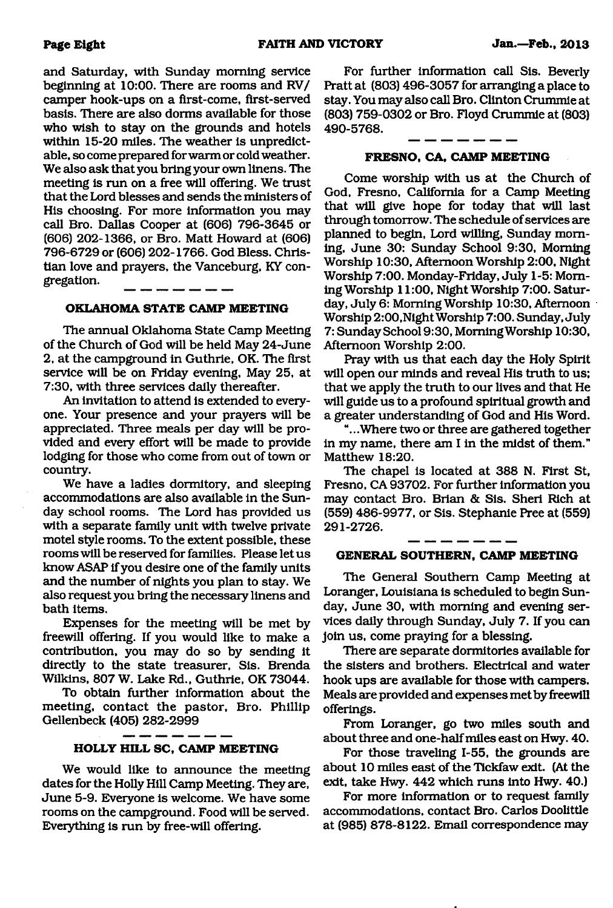and Saturday, with Sunday morning service beginning at 10:00. There are rooms and RV/ camper hook-ups on a first-come, first-served basis. There are also dorms available for those who wish to stay on the grounds and hotels within 15-20 miles. The weather is unpredictable, so come prepared for warm or cold weather. We also ask that you bring your own linens. The meeting is run on a free will offering. We trust that the Lord blesses and sends the ministers of His choosing. For more information you may call Bro. Dallas Cooper at (606) 796-3645 or (606) 202-1366, or Bro. Matt Howard at (606) 796-6729 or (606) 202-1766. God Bless. Christian love and prayers, the Vanceburg, KY congregation.

#### **OKLAHOMA STATE CAMP MEETING**

The annual Oklahoma State Camp Meeting of the Church of God will be held May 24-June 2, at the campground in Guthrie, OK. The first service will be on Friday evening, May 25, at 7:30, with three services daily thereafter.

An invitation to attend is extended to everyone. Your presence and your prayers will be appreciated. Three meals per day will be provided and every effort will be made to provide lodging for those who come from out of town or country.

We have a ladies dormitory, and sleeping accommodations are also available in the Sunday school rooms. The Lord has provided us with a separate family unit with twelve private motel style rooms. To the extent possible, these rooms will be reserved for families. Please let us know ASAP if you desire one of the family units and the number of nights you plan to stay. We also request you bring the necessary linens and bath items.

Expenses for the meeting will be met by freewill offering. If you would like to make a contribution, you may do so by sending it directly to the state treasurer, Sis. Brenda Wilkins, 807 W. Lake Rd.. Guthrie, OK 73044.

To obtain further information about the meeting, contact the pastor, Bro. Phillip Gellenbeck (405) 282-2999

#### **HOLLY HILL SC, CAMP MEETING**

We would like to announce the meeting dates for the Holly Hill Camp Meeting. They are, June 5-9. Everyone is welcome. We have some rooms on the campground. Food will be served. Everything is run by free-will offering.

For further information call Sis. Beverly Pratt at (803) 496-3057 for arranging a place to stay. You may also call Bro. Clinton Crummie at (803) 759-0302 or Bro. Floyd Crummie at (803) 490-5768.

#### **FRESNO, CA, CAMP MEETING**

Come worship with us at the Church of God, Fresno, California for a Camp Meeting that will give hope for today that will last through tomorrow. The schedule of services are planned to begin, Lord willing, Sunday morning, June 30: Sunday School 9:30, Morning Worship 10:30, Afternoon Worship 2:00, Night Worship 7:00. Monday-Friday, July 1-5: Morning Worship 11:00, Night Worship 7:00. Saturday, July 6: Morning Worship 10:30, Afternoon Worship 2:00,Night Worship 7:00. Sunday, July 7: Sunday School 9:30, Morning Worship 10:30, Afternoon Worship 2:00.

Pray with us that each day the Holy Spirit will open our minds and reveal His truth to us; that we apply the truth to our lives and that He will guide us to a profound spiritual growth and a greater understanding of God and His Word.

"...Where two or three are gathered together in my name, there am I in the midst of them." Matthew 18:20.

The chapel is located at 388 N. First St, Fresno, CA 93702. For further information you may contact Bro. Brian & Sis. Sheri Rich at (559) 486-9977, or Sis. Stephanie Pree at (559) 291-2726.

#### **GENERAL SOUTHERN, CAMP MEETING**

. .

The General Southern Camp Meeting at Loranger, Louisiana is scheduled to begin Sunday, June 30, with morning and evening services daily through Sunday, July 7. If you can join us, come praying for a blessing.

There are separate dormitories available for the sisters and brothers. Electrical and water hook ups are available for those with campers. Meals are provided and expenses met by freewill offerings.

From Loranger, go two miles south and about three and one-half miles east on Hwy. 40.

For those traveling 1-55, the grounds are about 10 miles east of the Tickfaw exit. (At the exit, take Hwy. 442 which runs into Hwy. 40.)

For more information or to request family accommodations, contact Bro. Carlos Doolittle at (985) 878-8122. Email correspondence may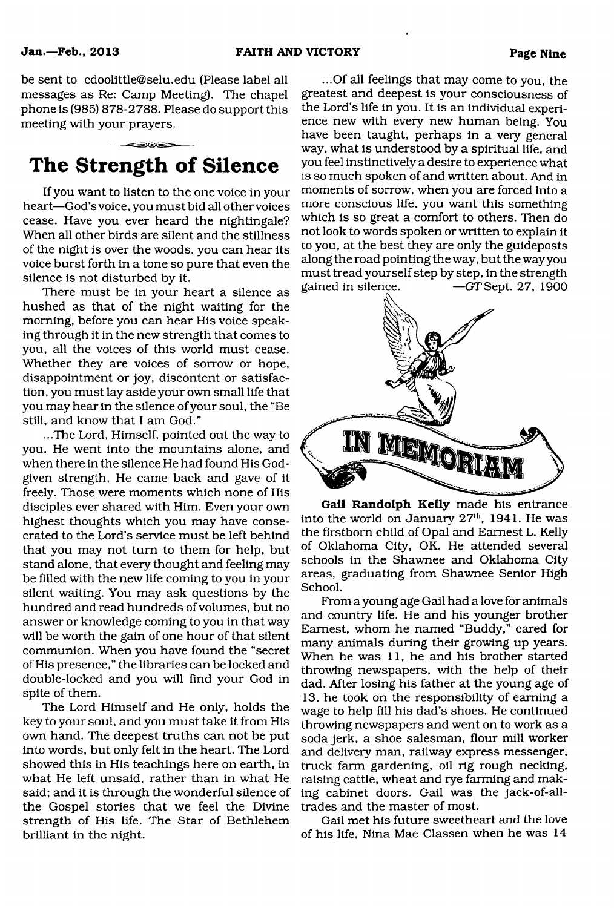be sent to [cdoolittle@selu.edu](mailto:cdoolittle@selu.edu) (Please label all messages as Re: Camp Meeting). The chapel phone is (985) 878-2788. Please do support this meeting with your prayers.

## **The Strength of Silence**

If you want to listen to the one voice in your heart—God's voice, you must bid all other voices cease. Have you ever heard the nightingale? When all other birds are silent and the stillness of the night is over the woods, you can hear its voice burst forth in a tone so pure that even the silence is not disturbed by it.

There must be in your heart a silence as hushed as that of the night waiting for the morning, before you can hear His voice speaking through it in the new strength that comes to you, all the voices of this world must cease. Whether they are voices of sorrow or hope, disappointment or joy, discontent or satisfaction, you must lay aside your own small life that you may hear in the silence of your soul, the "Be still, and know that I am God."

...The Lord, Himself, pointed out the way to you. He went into the mountains alone, and when there in the silence He had found His Godgiven strength, He came back and gave of it freely. Those were moments which none of His disciples ever shared with Him. Even your own highest thoughts which you may have consecrated to the Lord's service must be left behind that you may not turn to them for help, but stand alone, that every thought and feeling may be filled with the new life coming to you in your silent waiting. You may ask questions by the hundred and read hundreds of volumes, but no answer or knowledge coming to you in that way will be worth the gain of one hour of that silent communion. When you have found the "secret of His presence," the libraries can be locked and double-locked and you will find your God in spite of them.

The Lord Himself and He only, holds the key to your soul, and you must take it from His own hand. The deepest truths can not be put into words, but only felt in the heart. The Lord showed this in His teachings here on earth, in what He left unsaid, rather than in what He said; and it is through the wonderful silence of the Gospel stories that we feel the Divine strength of His life. The Star of Bethlehem brilliant in the night.

...Of all feelings that may come to you, the greatest and deepest is your consciousness of the Lord's life in you. It is an individual experience new with every new human being. You have been taught, perhaps in a very general way, what is understood by a spiritual life, and you feel instinctively a desire to experience what is so much spoken of and written about. And in moments of sorrow, when you are forced into a more conscious life, you want this something which is so great a comfort to others. Then do not look to words spoken or written to explain it to you, at the best they are only the guideposts along the road pointing the way, but the way you must tread yourself step by step, in the strength gained in silence.  $-GT$ Sept. 27, 1900



Gail Randolph Kelly made his entrance into the world on January  $27<sup>th</sup>$ , 1941. He was the firstborn child of Opal and Earnest L. Kelly of Oklahoma City, OK. He attended several schools in the Shawnee and Oklahoma City areas, graduating from Shawnee Senior High School.

From a young age Gail had a love for animals and country life. He and his younger brother Earnest, whom he named "Buddy," cared for many animals during their growing up years. When he was 11, he and his brother started throwing newspapers, with the help of their dad. After losing his father at the young age of 13, he took on the responsibility of earning a wage to help fill his dad's shoes. He continued throwing newspapers and went on to work as a soda jerk, a shoe salesman, flour mill worker and delivery man, railway express messenger, truck farm gardening, oil rig rough necking, raising cattle, wheat and rye farming and making cabinet doors. Gail was the jack-of-alltrades and the master of most.

Gail met his future sweetheart and the love of his life, Nina Mae Classen when he was 14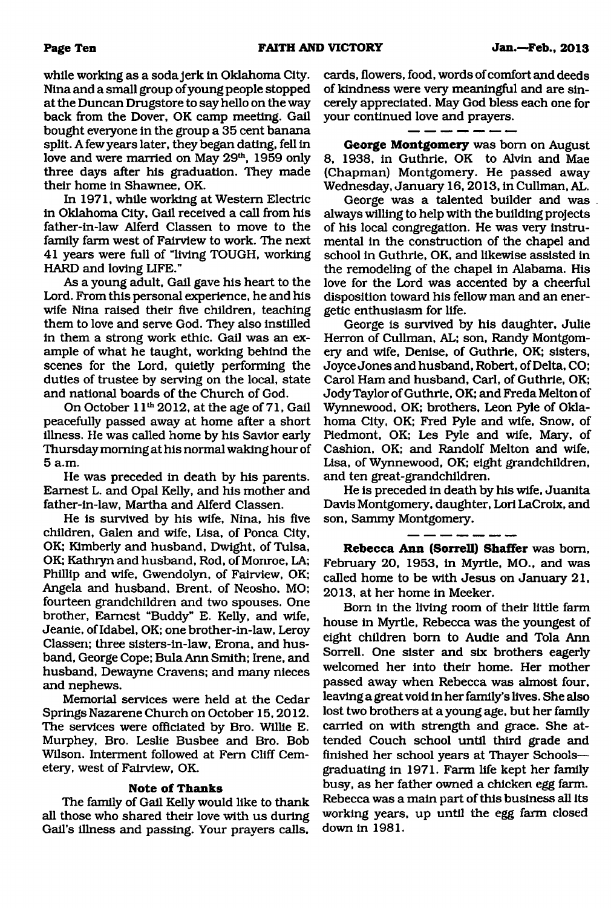while working as a soda jerk in Oklahoma City. Nina and a small group of young people stopped at the Duncan Drugstore to say hello on the way back from the Dover, OK camp meeting. Gail bought everyone in the group a 35 cent banana split. A few years later, they began dating, fell in love and were married on May 29<sup>th</sup>, 1959 only three days after his graduation. They made their home in Shawnee, OK.

In 1971, while working at Western Electric in Oklahoma City, Gail received a call from his father-in-law Alferd Classen to move to the family farm west of Fairview to work. The next 41 years were full of "living TOUGH, working HARD and loving LIFE."

As a young adult, Gail gave his heart to the Lord. From this personal experience, he and his wife Nina raised their five children, teaching them to love and serve God. They also instilled in them a strong work ethic. Gail was an example of what he taught, working behind the scenes for the Lord, quietly performing the duties of trustee by serving on the local, state and national boards of the Church of God.

On October 11<sup>th</sup> 2012, at the age of 71, Gail peacefully passed away at home after a short illness. He was called home by his Savior early Thursday morning at his normal waking hour of 5 a.m.

He was preceded in death by his parents. Earnest L. and Opal Kelly, and his mother and father-in-law, Martha and Alferd Classen.

He is survived by his wife, Nina, his five children, Galen and wife, Lisa, of Ponca City, OK; Kimberly and husband, Dwight, of Tulsa, OK; Kathryn and husband, Rod, of Monroe, LA; Phillip and wife, Gwendolyn, of Fairview, OK; Angela and husband, Brent, of Neosho, MO; fourteen grandchildren and two spouses. One brother, Earnest "Buddy" E. Kelly, and wife, Jeanie, ofldabel, OK; one brother-in-law, Leroy Classen; three sisters-in-law, Erona, and husband, George Cope; Bula Ann Smith; Irene, and husband, Dewayne Cravens; and many nieces and nephews.

Memorial services were held at the Cedar Springs Nazarene Church on October 15,2012. The services were officiated by Bro. Willie E. Murphey, Bro. Leslie Busbee and Bro. Bob Wilson. Interment followed at Fern Cliff Cemetery, west of Fairview, OK.

#### **Note of Thanks**

The family of Gail Kelly would like to thank all those who shared their love with us during Gail's illness and passing. Your prayers calls.

cards, flowers, food, words of comfort and deeds of kindness were very meaningful and are sincerely appreciated. May God bless each one for your continued love and prayers.

**George Montgomery** was bom on August 8, 1938, in Guthrie, OK to Alvin and Mae (Chapman) Montgomery. He passed away Wednesday, January 16,2013, in Cullman, AL.

George was a talented builder and was. always willing to help with the building projects of his local congregation. He was very instrumental in the construction of the chapel and school in Guthrie, OK, and likewise assisted in the remodeling of the chapel in Alabama. His love for the Lord was accented by a cheerful disposition toward his fellow man and an energetic enthusiasm for life.

George is survived by his daughter, Julie Herron of Cullman, AL; son, Randy Montgomery and wife, Denise, of Guthrie, OK; sisters, Joyce Jones and husband, Robert, of Delta, CO; Carol Ham and husband, Carl, of Guthrie, OK; Jody Taylor of Guthrie, OK; and Freda Melton of Wynnewood, OK; brothers, Leon Pyle of Oklahoma City, OK; Fred Pyle and wife, Snow, of Piedmont, OK; Les Pyle and wife, Mary, of Cashion, OK; and Randolf Melton and wife, Lisa, of Wynnewood, OK; eight grandchildren, and ten great-grandchildren.

He is preceded in death by his wife, Juanita Davis Montgomery, daughter, Lori LaCroix, and son, Sammy Montgomery.

**Rebecca Ann (Sorrell) Shaffer** was bom, February 20, 1953, in Myrtle, MO., and was called home to be with Jesus on January 21, 2013, at her home in Meeker.

Bom in the living room of their little farm house in Myrtle, Rebecca was the youngest of eight children bom to Audie and Tola Ann Sorrell. One sister and six brothers eagerly welcomed her into their home. Her mother passed away when Rebecca was almost four, leaving a great void in her family's lives. She also lost two brothers at a young age, but her family carried on with strength and grace. She attended Couch school until third grade and finished her school years at Thayer Schools graduating in 1971. Farm life kept her family busy, as her father owned a chicken egg farm. Rebecca was a main part of this business all its working years, up until the egg farm closed down in 1981.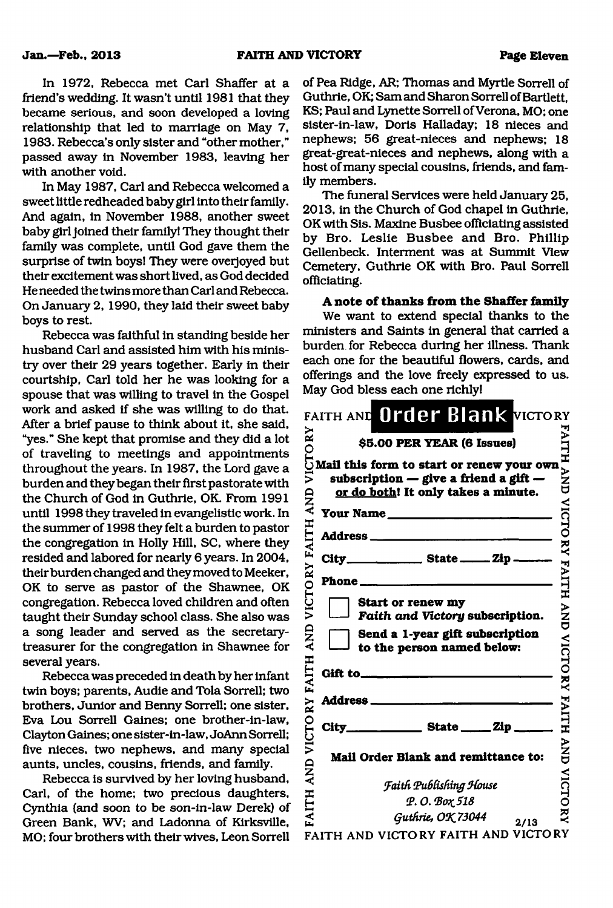In 1972, Rebecca met Carl Shaffer at a friend's wedding. It wasn't until 1981 that they became serious, and soon developed a loving relationship that led to marriage on May 7, 1983. Rebecca's only sister and "other mother," passed away in November 1983, leaving her with another void.

In May 1987, Carl and Rebecca welcomed a sweet little redheaded baby girl into their family. And again, in November 1988, another sweet baby girl joined their family! They thought their family was complete, until God gave them the surprise of twin boys! They were overjoyed but their excitement was short lived, as God decided He needed the twins more than Carl and Rebecca. On January 2, 1990, they laid their sweet baby boys to rest.

Rebecca was faithful in standing beside her husband Carl and assisted him with his ministry over their 29 years together. Early in their courtship, Carl told her he was looking for a spouse that was willing to travel in the Gospel work and asked if she was willing to do that. After a brief pause to think about it, she said, "yes." She kept that promise and they did a lot of traveling to meetings and appointments throughout the years. In 1987, the Lord gave a burden and they began their first pastorate with the Church of God in Guthrie, OK. From 1991 until 1998 they traveled in evangelistic work. In the summer of 1998 they felt a burden to pastor the congregation in Holly Hill, SC, where they resided and labored for nearly 6 years. In 2004, their burden changed and they moved to Meeker, OK to serve as pastor of the Shawnee, OK congregation. Rebecca loved children and often taught their Sunday school class. She also was a song leader and served as the secretarytreasurer for the congregation in Shawnee for several years.

Rebecca was preceded in death by her infant twin boys; parents, Audie and Tola Sorrell; two brothers. Junior and Benny Sorrell; one sister, Eva Lou Sorrell Gaines; one brother-in-law, Clayton Gaines; one sister-in-law, JoAnn Sorrell; five nieces, two nephews, and many special aunts, uncles, cousins, friends, and family.

Rebecca is survived by her loving husband, Carl, of the home; two precious daughters, Cynthia (and soon to be son-in-law Derek) of Green Bank, WV; and Ladonna of Kirksville, MO; four brothers with their wives, Leon Sorrell of Pea Ridge, AR; Thomas and Myrtle Sorrell of Guthrie, OK; Sam and Sharon Sorrell of Bartlett, KS; Paul and Lynette Sorrell of Verona, MO; one sister-in-law, Doris Halladay; 18 nieces and nephews; 56 great-nieces and nephews; 18 great-great-nieces and nephews, along with a host of many special cousins, friends, and family members.

The funeral Services were held January 25, 2013, in the Church of God chapel in Guthrie, OK with Sis. Maxine Busbee officiating assisted by Bro. Leslie Busbee and Bro. Phillip Gellenbeck. Interment was at Summit View Cemetery, Guthrie OK with Bro. Paul Sorrell officiating.

A note of thanks from the Shaffer family

We want to extend special thanks to the ministers and Saints in general that carried a burden for Rebecca during her illness. Thank each one for the beautiful flowers, cards, and offerings and the love freely expressed to us. May God bless each one richly!

| VICTORY<br>VICTORY FAITH AND<br>AND | FAITH AND Order Blank VICTORY<br>\$5.00 PER YEAR (6 Issues)<br>Mail this form to start or renew your own<br>subscription $-$ give a friend a gift $-$<br>or do both! It only takes a minute.<br>Your Name<br><u> 1999 - Jan Jawa Barat, panganan pada salah salah sahi</u><br>Phone ____<br>the company of the company of the company<br>Start or renew my<br>Faith and Victory subscription.<br>Send a 1-year gift subscription<br>to the person named below: | I<br>NN<br>UND<br>VICTO<br><b>RY FAITH</b><br>$\sum_{i=1}^{n}$<br><b>VICTORY</b> |
|-------------------------------------|----------------------------------------------------------------------------------------------------------------------------------------------------------------------------------------------------------------------------------------------------------------------------------------------------------------------------------------------------------------------------------------------------------------------------------------------------------------|----------------------------------------------------------------------------------|
|                                     | Gift to_<br><b>Address</b> _____                                                                                                                                                                                                                                                                                                                                                                                                                               |                                                                                  |
|                                     | $City$ <sub>_______________</sub> State _____ Zip _                                                                                                                                                                                                                                                                                                                                                                                                            | <b>FAITH</b>                                                                     |
| AND VICTORY FAITH                   | Mail Order Blank and remittance to:                                                                                                                                                                                                                                                                                                                                                                                                                            | <b>ANA</b>                                                                       |
|                                     | <b>Faith Publishing House</b>                                                                                                                                                                                                                                                                                                                                                                                                                                  | VICTO                                                                            |
| <b>FAITH</b>                        | Φ.Ο. Βοχ 518                                                                                                                                                                                                                                                                                                                                                                                                                                                   |                                                                                  |
|                                     | Guthrie, OK 73044<br>2/13                                                                                                                                                                                                                                                                                                                                                                                                                                      | え                                                                                |
|                                     | FAITH AND VICTORY FAITH AND VICTORY                                                                                                                                                                                                                                                                                                                                                                                                                            |                                                                                  |